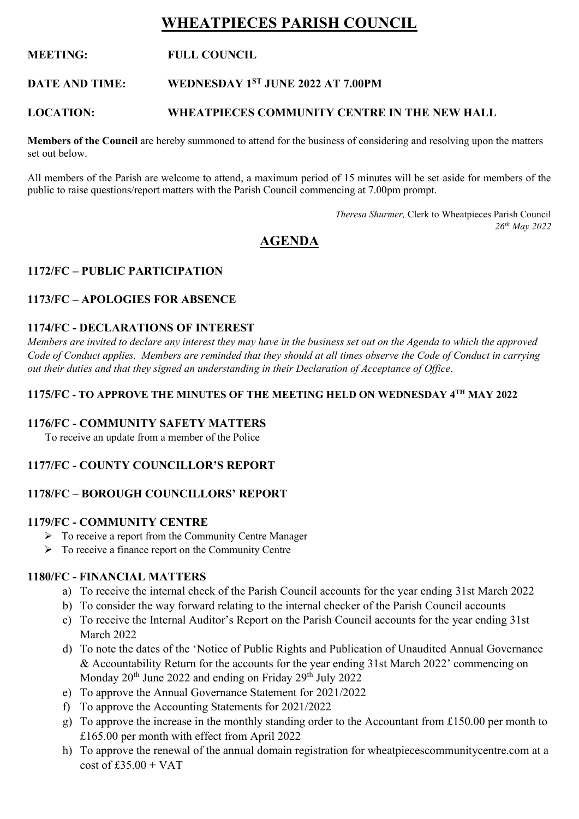# **WHEATPIECES PARISH COUNCIL**

### **MEETING: FULL COUNCIL**

#### **DATE AND TIME: WEDNESDAY 1ST JUNE 2022 AT 7.00PM**

#### **LOCATION: WHEATPIECES COMMUNITY CENTRE IN THE NEW HALL**

**Members of the Council** are hereby summoned to attend for the business of considering and resolving upon the matters set out below.

All members of the Parish are welcome to attend, a maximum period of 15 minutes will be set aside for members of the public to raise questions/report matters with the Parish Council commencing at 7.00pm prompt.

> *Theresa Shurmer,* Clerk to Wheatpieces Parish Council *26th May 2022*

## **AGENDA**

### **1172/FC – PUBLIC PARTICIPATION**

### **1173/FC – APOLOGIES FOR ABSENCE**

#### **1174/FC - DECLARATIONS OF INTEREST**

*Members are invited to declare any interest they may have in the business set out on the Agenda to which the approved Code of Conduct applies. Members are reminded that they should at all times observe the Code of Conduct in carrying out their duties and that they signed an understanding in their Declaration of Acceptance of Office*.

#### **1175/FC - TO APPROVE THE MINUTES OF THE MEETING HELD ON WEDNESDAY 4 TH MAY 2022**

### **1176/FC - COMMUNITY SAFETY MATTERS**

To receive an update from a member of the Police

### **1177/FC - COUNTY COUNCILLOR'S REPORT**

### **1178/FC – BOROUGH COUNCILLORS' REPORT**

#### **1179/FC - COMMUNITY CENTRE**

- ➢ To receive a report from the Community Centre Manager
- ➢ To receive a finance report on the Community Centre

#### **1180/FC - FINANCIAL MATTERS**

- a) To receive the internal check of the Parish Council accounts for the year ending 31st March 2022
- b) To consider the way forward relating to the internal checker of the Parish Council accounts
- c) To receive the Internal Auditor's Report on the Parish Council accounts for the year ending 31st March 2022
- d) To note the dates of the 'Notice of Public Rights and Publication of Unaudited Annual Governance & Accountability Return for the accounts for the year ending 31st March 2022' commencing on Monday 20<sup>th</sup> June 2022 and ending on Friday 29<sup>th</sup> July 2022
- e) To approve the Annual Governance Statement for 2021/2022
- f) To approve the Accounting Statements for 2021/2022
- g) To approve the increase in the monthly standing order to the Accountant from £150.00 per month to £165.00 per month with effect from April 2022
- h) To approve the renewal of the annual domain registration for wheatpiecescommunitycentre.com at a  $\cos t$  of  $f35.00 + VAT$